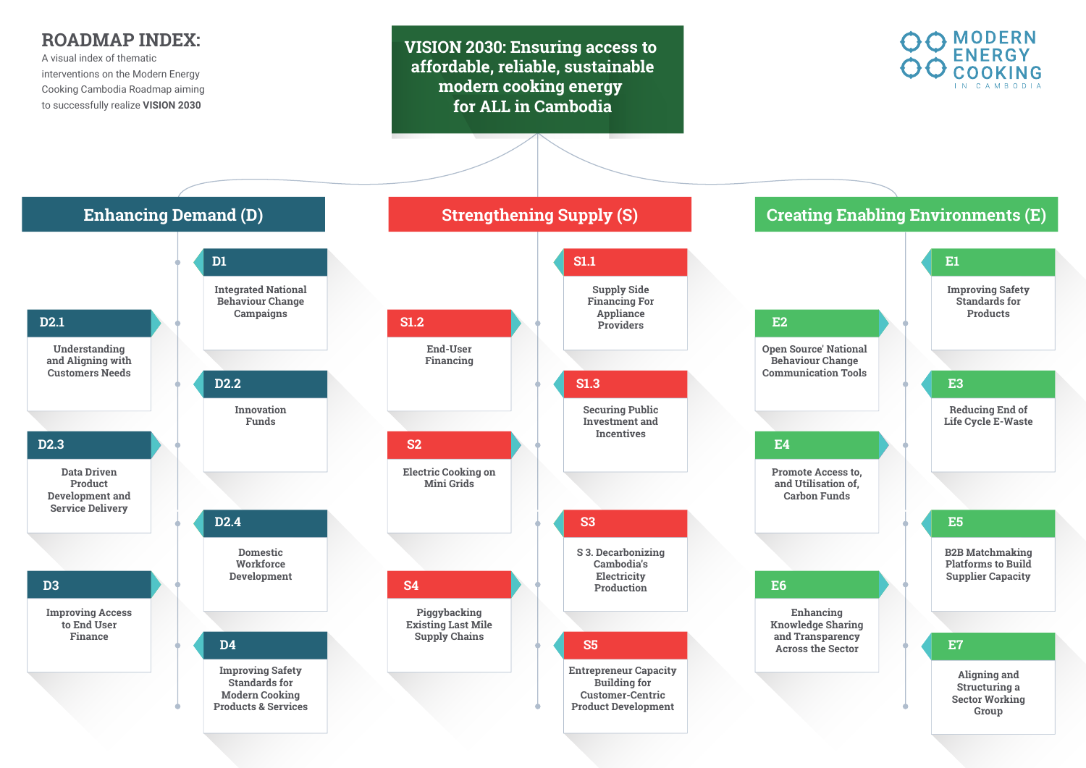**VISION 2030: Ensuring access to affordable, reliable, sustainable modern cooking energy for ALL in Cambodia**





## **ROADMAP INDEX:**

A visual index of thematic interventions on the Modern Energy Cooking Cambodia Roadmap aiming to successfully realize **VISION 2030**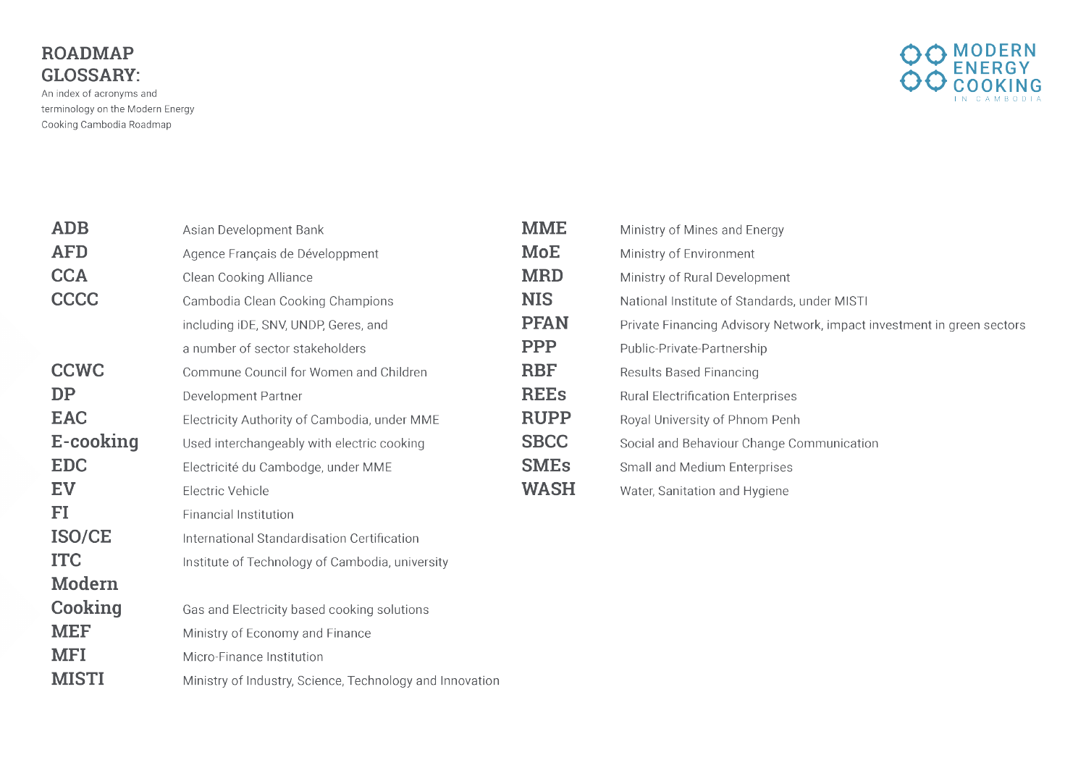## **ROADMAP GLOSSARY:**

An index of acronyms and terminology on the Modern Energy Cooking Cambodia Roadmap

| Asian Development Bank                                   | <b>MME</b>  | Ministry of Mines and Energy              |
|----------------------------------------------------------|-------------|-------------------------------------------|
| Agence Français de Développment                          | <b>MoE</b>  | Ministry of Environment                   |
| <b>Clean Cooking Alliance</b>                            | <b>MRD</b>  | Ministry of Rural Development             |
| Cambodia Clean Cooking Champions                         | <b>NIS</b>  | National Institute of Standards, und      |
| including iDE, SNV, UNDP, Geres, and                     | <b>PFAN</b> | <b>Private Financing Advisory Network</b> |
| a number of sector stakeholders                          | <b>PPP</b>  | Public-Private-Partnership                |
| Commune Council for Women and Children                   | <b>RBF</b>  | <b>Results Based Financing</b>            |
| <b>Development Partner</b>                               | <b>REEs</b> | <b>Rural Electrification Enterprises</b>  |
| Electricity Authority of Cambodia, under MME             | <b>RUPP</b> | Royal University of Phnom Penh            |
| Used interchangeably with electric cooking               | <b>SBCC</b> | Social and Behaviour Change Comn          |
| Electricité du Cambodge, under MME                       | <b>SMEs</b> | <b>Small and Medium Enterprises</b>       |
| <b>Electric Vehicle</b>                                  | <b>WASH</b> | Water, Sanitation and Hygiene             |
| <b>Financial Institution</b>                             |             |                                           |
| International Standardisation Certification              |             |                                           |
| Institute of Technology of Cambodia, university          |             |                                           |
|                                                          |             |                                           |
| Gas and Electricity based cooking solutions              |             |                                           |
| Ministry of Economy and Finance                          |             |                                           |
| <b>Micro-Finance Institution</b>                         |             |                                           |
| Ministry of Industry, Science, Technology and Innovation |             |                                           |
|                                                          |             |                                           |



der MISTI

s, impact investment in green sectors

munication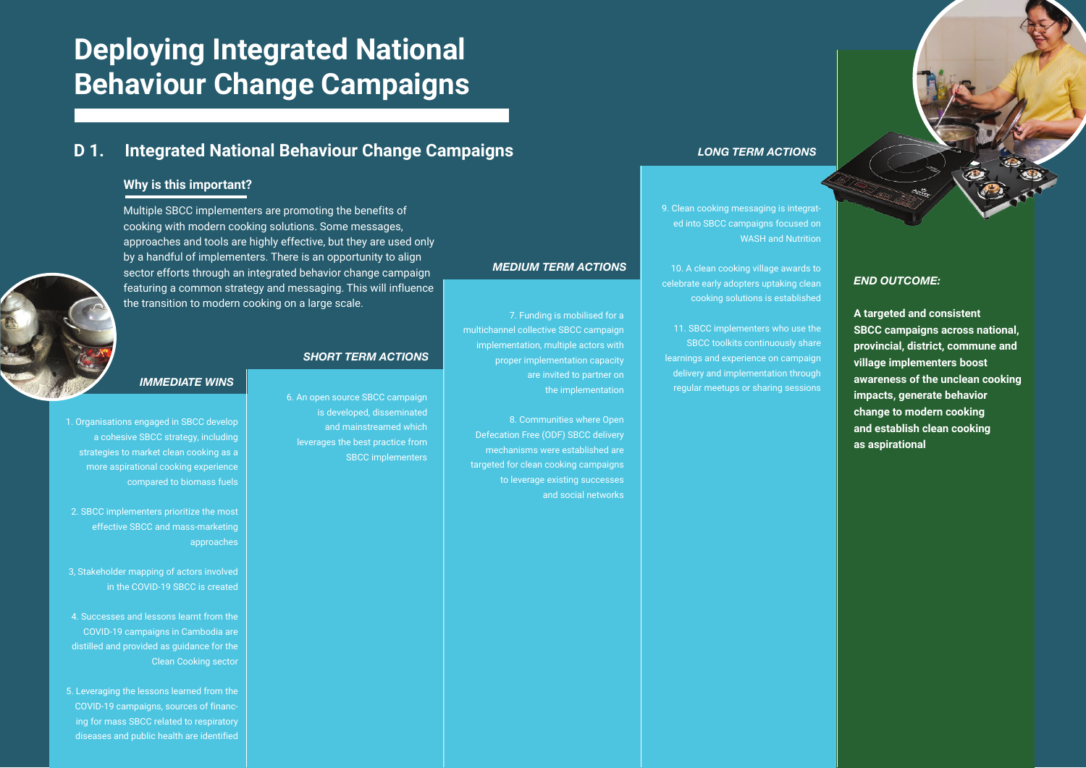**A targeted and consistent SBCC campaigns across national, provincial, district, commune and village implementers boost awareness of the unclean cooking impacts, generate behavior change to modern cooking and establish clean cooking as aspirational** 

7. Funding is mobilised for a

multichannel collective SBCC campaign implementation, multiple actors with proper implementation capacity

are invited to partner on

the implementation

8. Communities where Open

Defecation Free (ODF) SBCC delivery mechanisms were established are targeted for clean cooking campaigns

to leverage existing successes

and social networks

6. An open source SBCC campaign is developed, disseminated and mainstreamed which leverages the best practice from SBCC implementers 9. Clean cooking messaging is integrated into SBCC campaigns focused on WASH and Nutrition

10. A clean cooking village awards to celebrate early adopters uptaking clean cooking solutions is established

11. SBCC implementers who use the SBCC toolkits continuously share learnings and experience on campaign delivery and implementation through regular meetups or sharing sessions

# **Deploying Integrated National Behaviour Change Campaigns**

#### **D 1. Integrated National Behaviour Change Campaigns**

Multiple SBCC implementers are promoting the benefits of cooking with modern cooking solutions. Some messages, approaches and tools are highly effective, but they are used only by a handful of implementers. There is an opportunity to align sector efforts through an integrated behavior change campaign featuring a common strategy and messaging. This will influence the transition to modern cooking on a large scale.

#### **Why is this important?**

1. Organisations engaged in SBCC develop a cohesive SBCC strategy, including strategies to market clean cooking as a more aspirational cooking experience compared to biomass fuels

2. SBCC implementers prioritize the most effective SBCC and mass-marketing approaches

3, Stakeholder mapping of actors involved in the COVID-19 SBCC is created

4. Successes and lessons learnt from the COVID-19 campaigns in Cambodia are distilled and provided as guidance for the Clean Cooking sector

5. Leveraging the lessons learned from the COVID-19 campaigns, sources of financing for mass SBCC related to respiratory diseases and public health are identified

#### *IMMEDIATE WINS*

#### *SHORT TERM ACTIONS*

*MEDIUM TERM ACTIONS*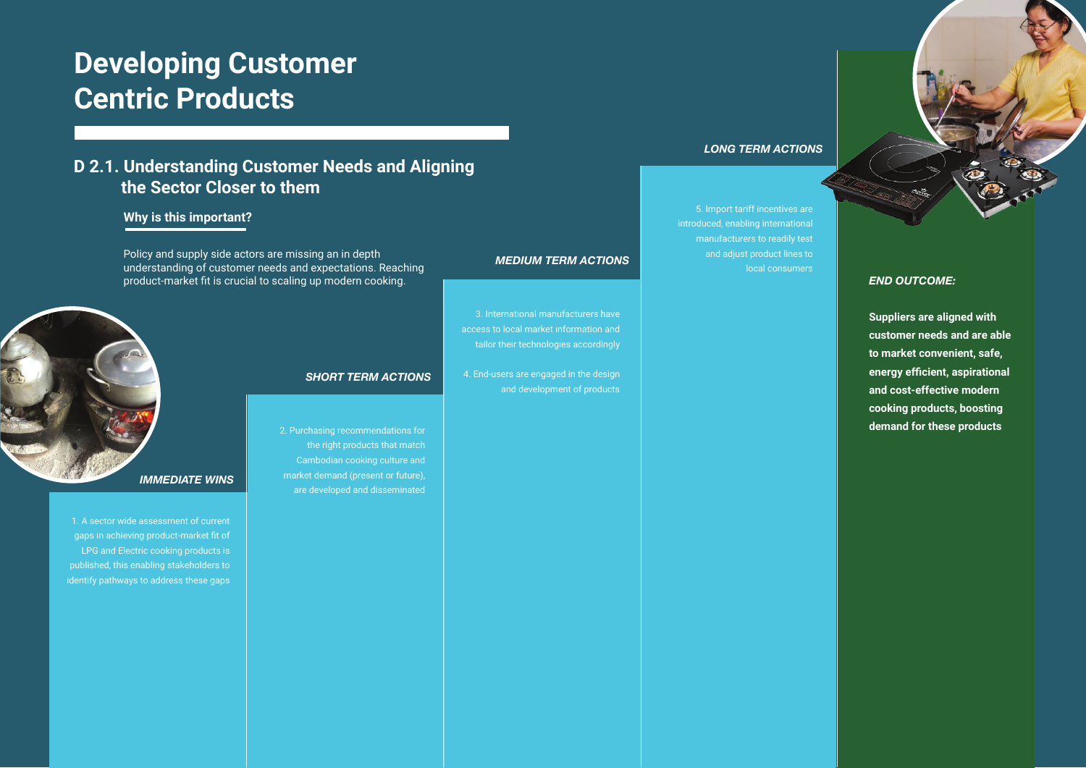## **D 2.1. Understanding Customer Needs and Aligning the Sector Closer to them**

#### **Why is this important?**

## **Developing Customer Centric Products**

Policy and supply side actors are missing an in depth understanding of customer needs and expectations. Reaching product-market fit is crucial to scaling up modern cooking.

1. A sector wide assessment of current gaps in achieving product-market fit of LPG and Electric cooking products is published, this enabling stakeholders to identify pathways to address these gaps 2. Purchasing recommendations for the right products that match Cambodian cooking culture and market demand (present or future), are developed and disseminated



3. International manufacturers have access to local market information and tailor their technologies accordingly

4. End-users are engaged in the design

and development of products

5. Import tariff incentives are introduced, enabling international manufacturers to readily test and adjust product lines to local consumers

#### *IMMEDIATE WINS*



*MEDIUM TERM ACTIONS*

#### *LONG TERM ACTIONS*

#### *END OUTCOME:*

**Suppliers are aligned with customer needs and are able to market convenient, safe, energy efficient, aspirational and cost-effective modern cooking products, boosting demand for these products**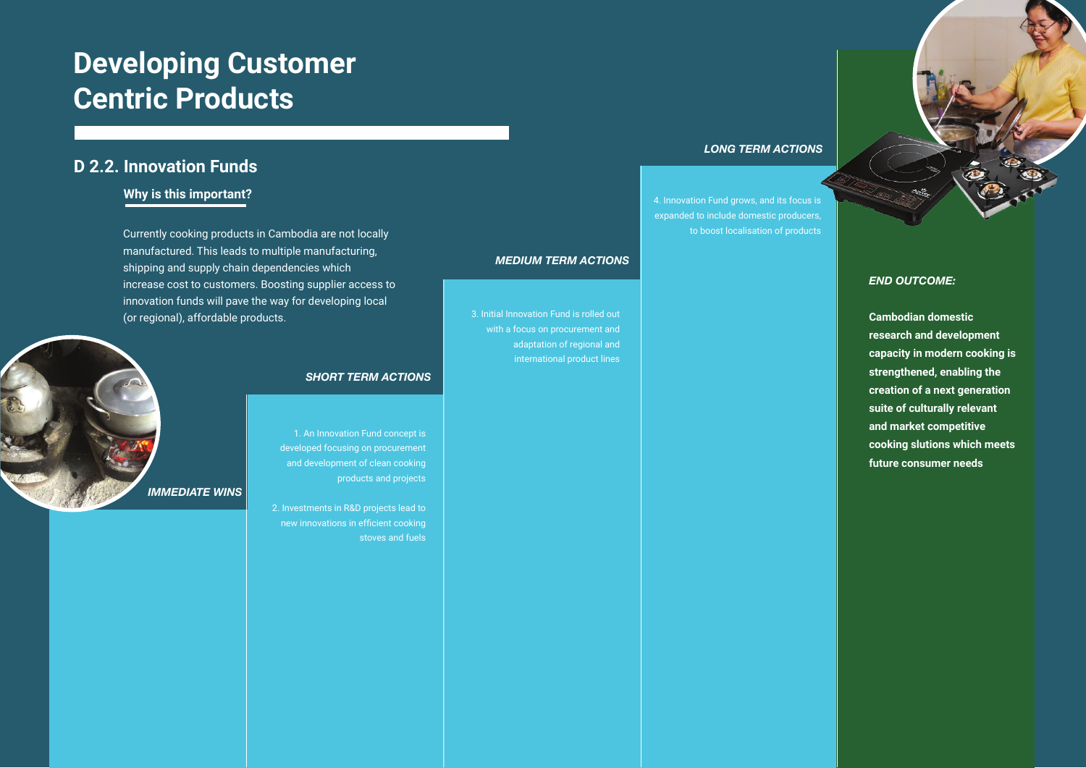## **D 2.2. Innovation Funds**

#### **Why is this important?**

*END OUTCOME:*

**Cambodian domestic research and development capacity in modern cooking is strengthened, enabling the creation of a next generation suite of culturally relevant and market competitive cooking slutions which meets future consumer needs**

1. An Innovation Fund concept is developed focusing on procurement and development of clean cooking products and projects

2. Investments in R&D projects lead to new innovations in efficient cooking stoves and fuels

3. Initial Innovation Fund is rolled out with a focus on procurement and adaptation of regional and international product lines 4. Innovation Fund grows, and its focus is expanded to include domestic producers, to boost localisation of products



#### *SHORT TERM ACTIONS*

#### *MEDIUM TERM ACTIONS*

#### *LONG TERM ACTIONS*

## **Developing Customer Centric Products**

Currently cooking products in Cambodia are not locally manufactured. This leads to multiple manufacturing, shipping and supply chain dependencies which increase cost to customers. Boosting supplier access to innovation funds will pave the way for developing local (or regional), affordable products.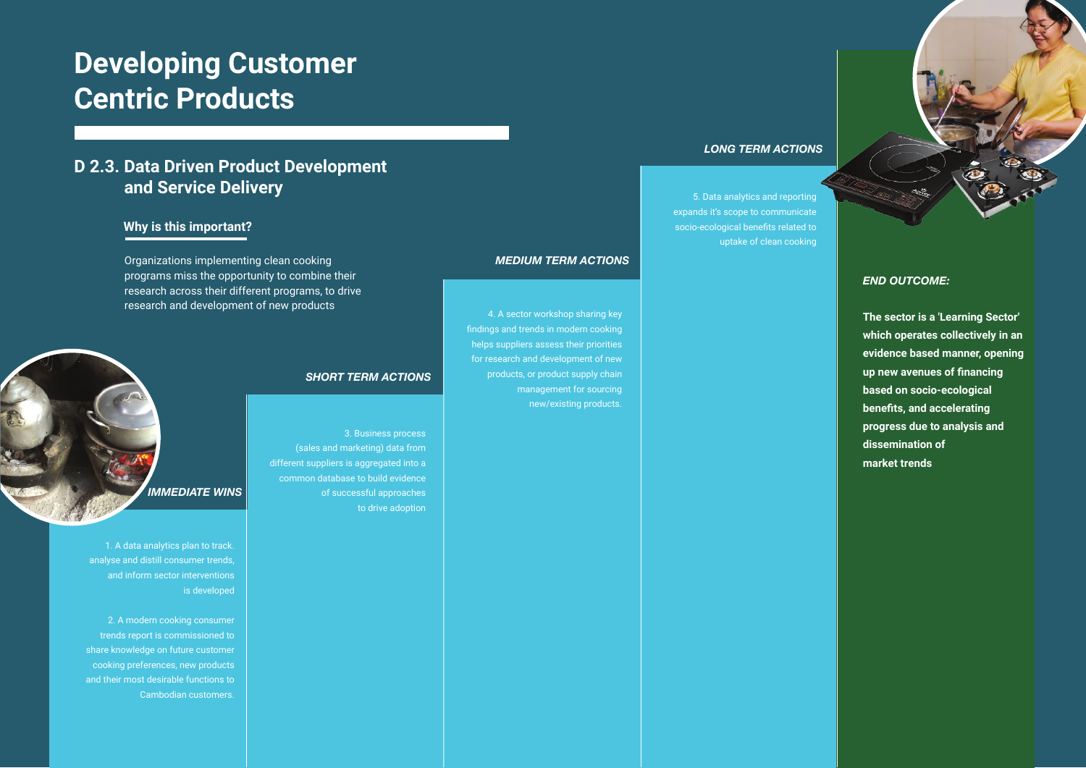#### **Why is this important?**

1. A data analytics plan to track. analyse and distill consumer trends, and inform sector interventions is developed

2. A modern cooking consumer trends report is commissioned to share knowledge on future customer cooking preferences, new products and their most desirable functions to Cambodian customers.

3. Business process (sales and marketing) data from different suppliers is aggregated into a common database to build evidence of successful approaches to drive adoption

4. A sector workshop sharing key findings and trends in modern cooking helps suppliers assess their priorities for research and development of new products, or product supply chain

> management for sourcing new/existing products.

5. Data analytics and reporting expands it's scope to communicate socio-ecological benefits related to uptake of clean cooking

#### *END OUTCOME:*

**The sector is a 'Learning Sector' which operates collectively in an evidence based manner, opening up new avenues of financing based on socio-ecological benefits, and accelerating progress due to analysis and dissemination of market trends** 

## *IMMEDIATE WINS*

#### *SHORT TERM ACTIONS*

*MEDIUM TERM ACTIONS*

#### *LONG TERM ACTIONS*

## **Developing Customer Centric Products**

Organizations implementing clean cooking programs miss the opportunity to combine their research across their different programs, to drive research and development of new products

## **D 2.3. Data Driven Product Development and Service Delivery**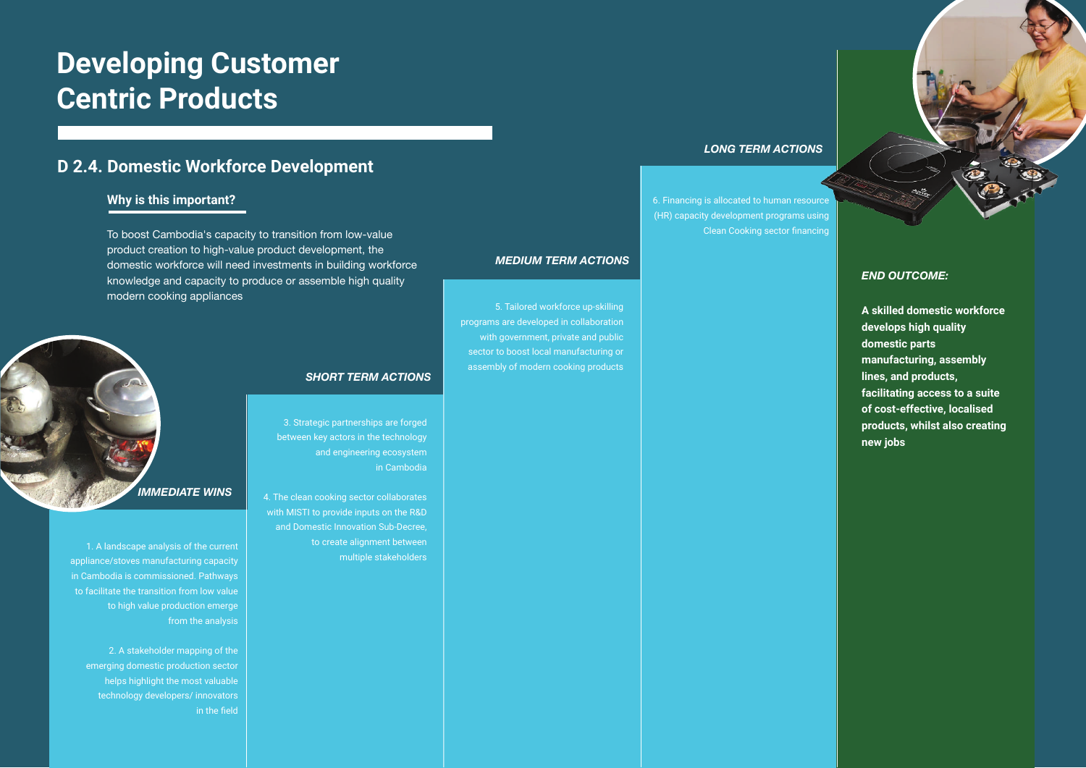#### **D 2.4. Domestic Workforce Development**

#### **Why is this important?**

# **Developing Customer Centric Products**

To boost Cambodia's capacity to transition from low-value product creation to high-value product development, the domestic workforce will need investments in building workforce knowledge and capacity to produce or assemble high quality modern cooking appliances

#### *END OUTCOME:*

**A skilled domestic workforce develops high quality domestic parts manufacturing, assembly lines, and products, facilitating access to a suite of cost-effective, localised products, whilst also creating new jobs**

1. A landscape analysis of the current appliance/stoves manufacturing capacity in Cambodia is commissioned. Pathways to facilitate the transition from low value to high value production emerge from the analysis

2. A stakeholder mapping of the emerging domestic production sector helps highlight the most valuable technology developers/ innovators in the field

3. Strategic partnerships are forged between key actors in the technology and engineering ecosystem in Cambodia

4. The clean cooking sector collaborates with MISTI to provide inputs on the R&D and Domestic Innovation Sub-Decree, to create alignment between multiple stakeholders

5. Tailored workforce up-skilling programs are developed in collaboration with government, private and public sector to boost local manufacturing or assembly of modern cooking products

6. Financing is allocated to human resource (HR) capacity development programs using Clean Cooking sector financing

# *IMMEDIATE WINS*

#### *SHORT TERM ACTIONS*

#### *MEDIUM TERM ACTIONS*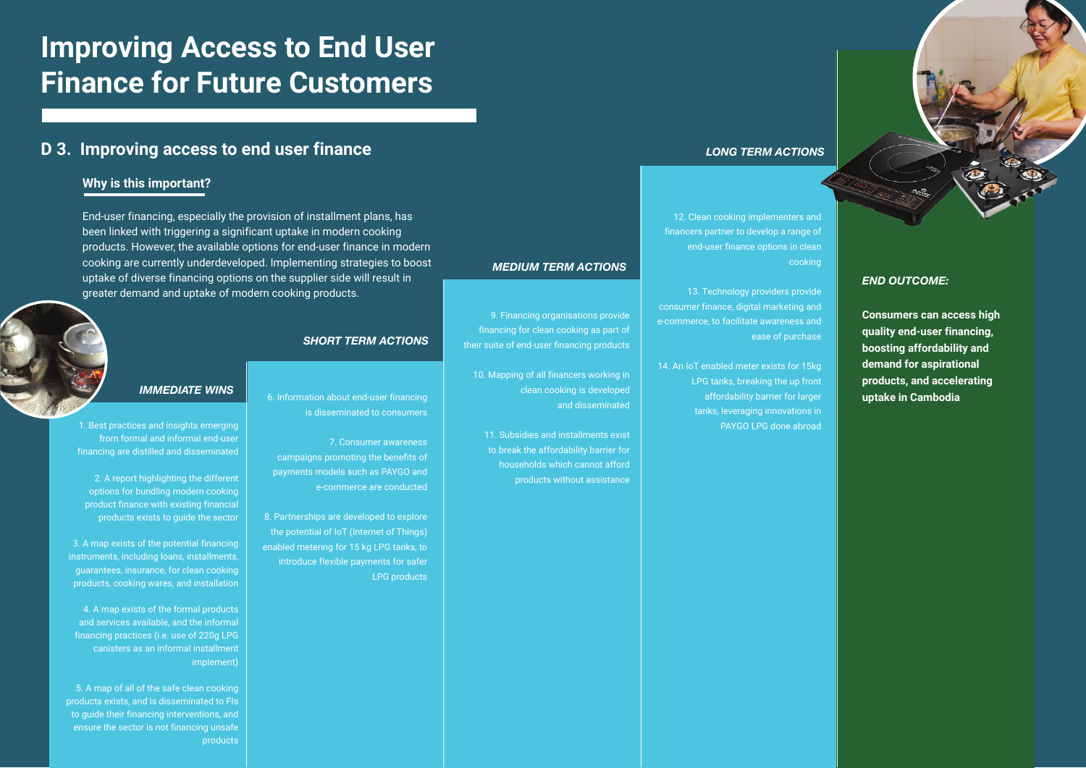**Consumers can access high quality end-user financing, boosting affordability and demand for aspirational products, and accelerating** 

is disseminated to consumers

7. Consumer awareness campaigns promoting the benefits of payments models such as PAYGO and e-commerce are conducted

8. Partnerships are developed to explore the potential of IoT (Internet of Things) enabled metering for 15 kg LPG tanks, to introduce flexible payments for safer LPG products

1. Best practices and insights emerging from formal and informal end-user financing are distilled and disseminated

2. A report highlighting the different options for bundling modern cooking product finance with existing financial products exists to guide the sector

3. A map exists of the potential financing instruments, including loans, installments, guarantees, insurance, for clean cooking products, cooking wares, and installation

 4. A map exists of the formal products and services available, and the informal financing practices (i.e. use of 220g LPG canisters as an informal installment implement)

6. Information about end-user financing **uptake in Cambodia** 14. An IoT enabled meter exists for 15kg LPG tanks, breaking the up front affordability barrier for larger tanks, leveraging innovations in PAYGO LPG done abroad

5. A map of all of the safe clean cooking products exists, and is disseminated to FIs to guide their financing interventions, and ensure the sector is not financing unsafe products

9. Financing organisations provide financing for clean cooking as part of their suite of end-user financing products

10. Mapping of all financers working in

clean cooking is developed

and disseminated

11. Subsidies and installments exist to break the affordability barrier for households which cannot afford products without assistance

12. Clean cooking implementers and financers partner to develop a range of end-user finance options in clean cooking

13. Technology providers provide consumer finance, digital marketing and e-commerce, to facilitate awareness and ease of purchase

# **Improving Access to End User Finance for Future Customers**

#### **D 3. Improving access to end user finance**

End-user financing, especially the provision of installment plans, has been linked with triggering a significant uptake in modern cooking products. However, the available options for end-user finance in modern cooking are currently underdeveloped. Implementing strategies to boost uptake of diverse financing options on the supplier side will result in greater demand and uptake of modern cooking products.

#### **Why is this important?**

#### *IMMEDIATE WINS*

#### *SHORT TERM ACTIONS*

*MEDIUM TERM ACTIONS*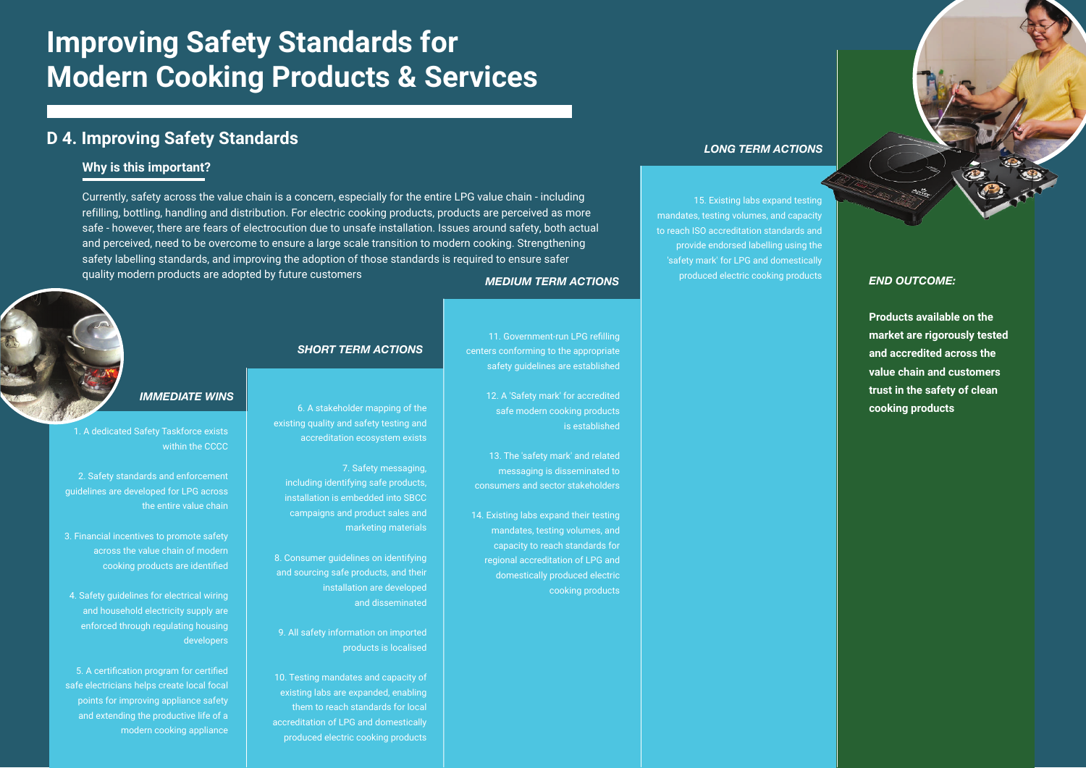#### *IMMEDIATE WINS*

#### *SHORT TERM ACTIONS*

*MEDIUM TERM ACTIONS*

## *LONG TERM ACTIONS* **D 4. Improving Safety Standards**

1. A dedicated Safety Taskforce exists within the CCCC

2. Safety standards and enforcement guidelines are developed for LPG across the entire value chain

3. Financial incentives to promote safety across the value chain of modern cooking products are identified

4. Safety guidelines for electrical wiring and household electricity supply are enforced through regulating housing developers

5. A certification program for certified safe electricians helps create local focal points for improving appliance safety and extending the productive life of a modern cooking appliance

produced electric cooking products **END OUTCOME:** 

6. A stakeholder mapping of the existing quality and safety testing and accreditation ecosystem exists

 7. Safety messaging, including identifying safe products, installation is embedded into SBCC campaigns and product sales and marketing materials

8. Consumer guidelines on identifying and sourcing safe products, and their installation are developed and disseminated

9. All safety information on imported products is localised

10. Testing mandates and capacity of existing labs are expanded, enabling them to reach standards for local accreditation of LPG and domestically produced electric cooking products

11. Government-run LPG refilling centers conforming to the appropriate safety guidelines are established

> 12. A 'Safety mark' for accredited safe modern cooking products is established

13. The 'safety mark' and related messaging is disseminated to consumers and sector stakeholders

14. Existing labs expand their testing mandates, testing volumes, and capacity to reach standards for regional accreditation of LPG and domestically produced electric cooking products

15. Existing labs expand testing

mandates, testing volumes, and capacity to reach ISO accreditation standards and

provide endorsed labelling using the 'safety mark' for LPG and domestically

> **Products available on the market are rigorously tested and accredited across the value chain and customers trust in the safety of clean cooking products**

Currently, safety across the value chain is a concern, especially for the entire LPG value chain - including refilling, bottling, handling and distribution. For electric cooking products, products are perceived as more safe - however, there are fears of electrocution due to unsafe installation. Issues around safety, both actual and perceived, need to be overcome to ensure a large scale transition to modern cooking. Strengthening safety labelling standards, and improving the adoption of those standards is required to ensure safer quality modern products are adopted by future customers

# **Improving Safety Standards for Modern Cooking Products & Services**

#### **Why is this important?**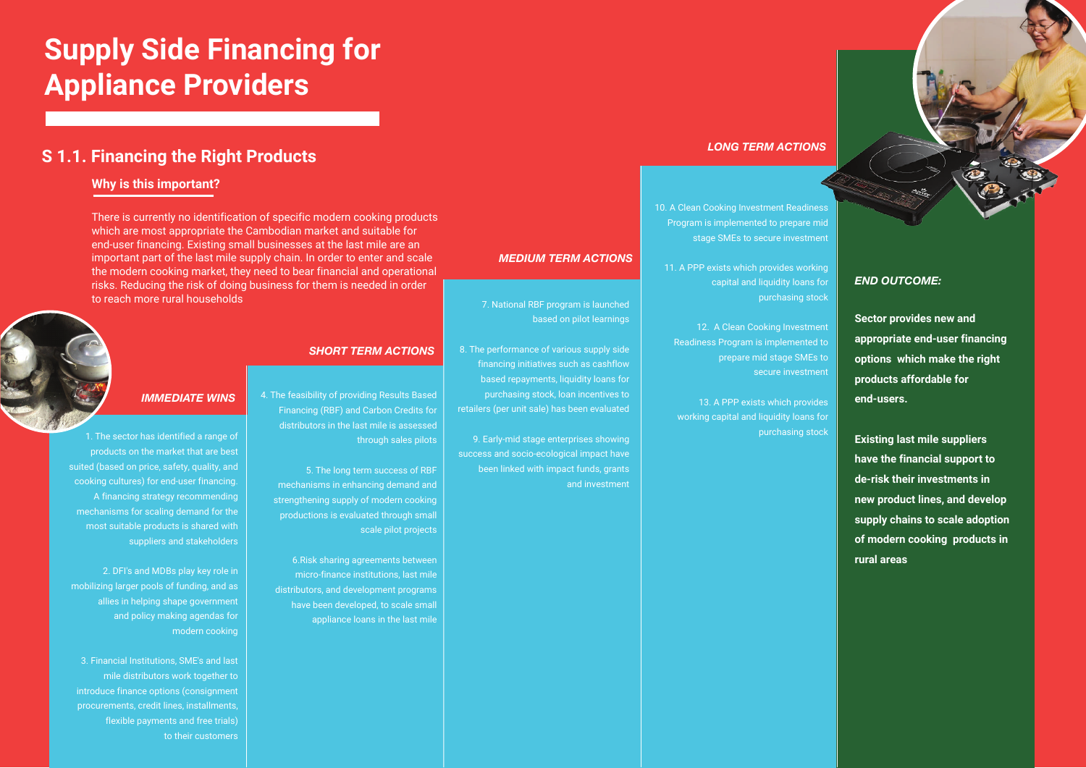**Sector provides new and appropriate end-user financing options which make the right products affordable for end-users.**

**Existing last mile suppliers have the financial support to de-risk their investments in new product lines, and develop supply chains to scale adoption of modern cooking products in rural areas**

4. The feasibility of providing Results Based Financing (RBF) and Carbon Credits for distributors in the last mile is assessed through sales pilots

5. The long term success of RBF mechanisms in enhancing demand and strengthening supply of modern cooking productions is evaluated through small scale pilot projects

6.Risk sharing agreements between micro-finance institutions, last mile distributors, and development programs have been developed, to scale small appliance loans in the last mile

7. National RBF program is launched

based on pilot learnings

8. The performance of various supply side financing initiatives such as cashflow based repayments, liquidity loans for purchasing stock, loan incentives to

retailers (per unit sale) has been evaluated

9. Early-mid stage enterprises showing success and socio-ecological impact have

been linked with impact funds, grants

and investment

10. A Clean Cooking Investment Readiness Program is implemented to prepare mid stage SMEs to secure investment

11. A PPP exists which provides working capital and liquidity loans for purchasing stock

12. A Clean Cooking Investment Readiness Program is implemented to prepare mid stage SMEs to secure investment

13. A PPP exists which provides working capital and liquidity loans for purchasing stock

#### *IMMEDIATE WINS*

#### *SHORT TERM ACTIONS*

*MEDIUM TERM ACTIONS*

## *LONG TERM ACTIONS* **S 1.1. Financing the Right Products**

There is currently no identification of specific modern cooking products which are most appropriate the Cambodian market and suitable for end-user financing. Existing small businesses at the last mile are an important part of the last mile supply chain. In order to enter and scale the modern cooking market, they need to bear financial and operational risks. Reducing the risk of doing business for them is needed in order to reach more rural households

#### **Why is this important?**

1. The sector has identified a range of products on the market that are best suited (based on price, safety, quality, and cooking cultures) for end-user financing. A financing strategy recommending mechanisms for scaling demand for the most suitable products is shared with suppliers and stakeholders

2. DFI's and MDBs play key role in mobilizing larger pools of funding, and as allies in helping shape government and policy making agendas for modern cooking

3. Financial Institutions, SME's and last mile distributors work together to introduce finance options (consignment procurements, credit lines, installments, flexible payments and free trials) to their customers

# **Supply Side Financing for Appliance Providers**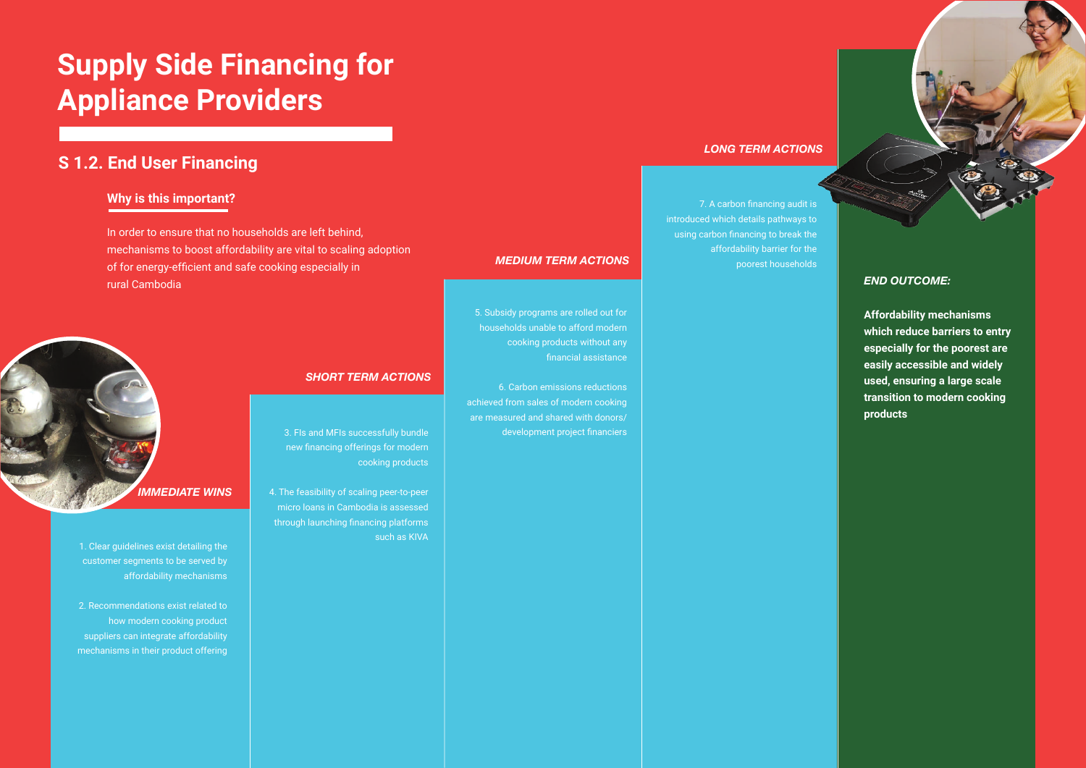**Affordability mechanisms which reduce barriers to entry especially for the poorest are easily accessible and widely used, ensuring a large scale transition to modern cooking products**

## **S 1.2. End User Financing**

In order to ensure that no households are left behind, mechanisms to boost affordability are vital to scaling adoption of for energy-efficient and safe cooking especially in rural Cambodia

#### **Why is this important?**

1. Clear guidelines exist detailing the customer segments to be served by affordability mechanisms

2. Recommendations exist related to how modern cooking product suppliers can integrate affordability mechanisms in their product offering

3. FIs and MFIs successfully bundle new financing offerings for modern cooking products

4. The feasibility of scaling peer-to-peer micro loans in Cambodia is assessed through launching financing platforms such as KIVA

5. Subsidy programs are rolled out for households unable to afford modern

cooking products without any

financial assistance

6. Carbon emissions reductions

achieved from sales of modern cooking are measured and shared with donors/

development project financiers

7. A carbon financing audit is introduced which details pathways to using carbon financing to break the affordability barrier for the poorest households



#### *SHORT TERM ACTIONS*

*MEDIUM TERM ACTIONS*

#### *LONG TERM ACTIONS*

# **Supply Side Financing for Appliance Providers**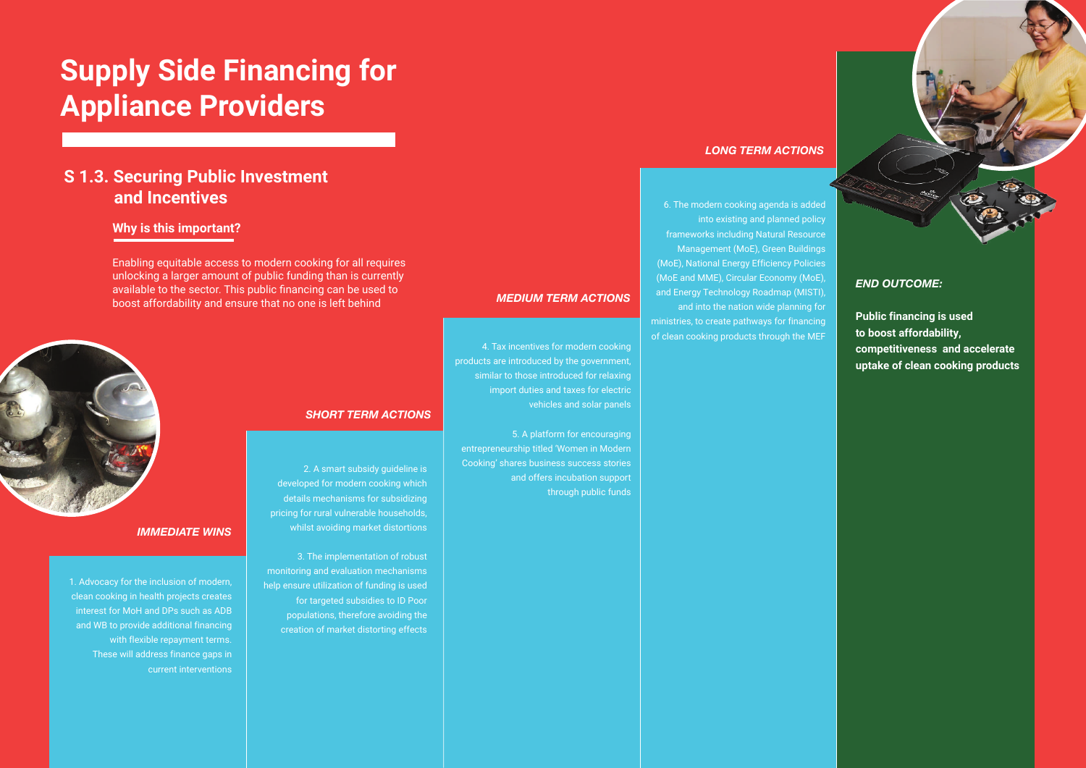## **S 1.3. Securing Public Investment and Incentives**

Enabling equitable access to modern cooking for all requires unlocking a larger amount of public funding than is currently available to the sector. This public financing can be used to boost affordability and ensure that no one is left behind

#### **Why is this important?**

#### *IMMEDIATE WINS*

#### *SHORT TERM ACTIONS*

#### *MEDIUM TERM ACTIONS*

## *LONG TERM ACTIONS*

1. Advocacy for the inclusion of modern, clean cooking in health projects creates interest for MoH and DPs such as ADB and WB to provide additional financing with flexible repayment terms. These will address finance gaps in current interventions

2. A smart subsidy guideline is developed for modern cooking which details mechanisms for subsidizing pricing for rural vulnerable households, whilst avoiding market distortions

3. The implementation of robust monitoring and evaluation mechanisms help ensure utilization of funding is used for targeted subsidies to ID Poor populations, therefore avoiding the creation of market distorting effects

4. Tax incentives for modern cooking products are introduced by the government, similar to those introduced for relaxing import duties and taxes for electric vehicles and solar panels

5. A platform for encouraging entrepreneurship titled 'Women in Modern Cooking' shares business success stories and offers incubation support through public funds

6. The modern cooking agenda is added into existing and planned policy frameworks including Natural Resource Management (MoE), Green Buildings (MoE), National Energy Efficiency Policies (MoE and MME), Circular Economy (MoE), and Energy Technology Roadmap (MISTI), and into the nation wide planning for

ministries, to create pathways for financing of clean cooking products through the MEF

#### *END OUTCOME:*

**Public financing is used to boost affordability, competitiveness and accelerate uptake of clean cooking products**

# **Supply Side Financing for Appliance Providers**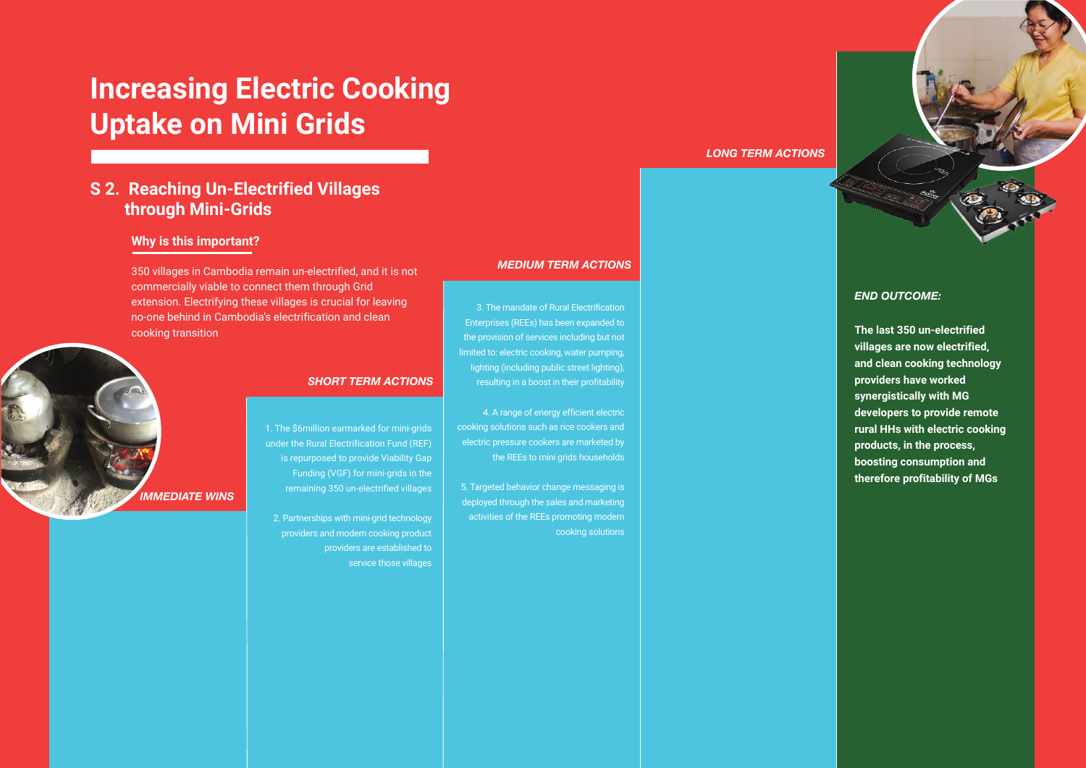**The last 350 un-electrified villages are now electrified, and clean cooking technology providers have worked synergistically with MG developers to provide remote rural HHs with electric cooking products, in the process, boosting consumption and therefore profitability of MGs**

## **Increasing Electric Cooking Uptake on Mini Grids**

## **S 2. Reaching Un-Electrified Villages through Mini-Grids**

350 villages in Cambodia remain un-electrified, and it is not commercially viable to connect them through Grid extension. Electrifying these villages is crucial for leaving no-one behind in Cambodia's electrification and clean cooking transition

#### **Why is this important?**

3. The mandate of Rural Electrification Enterprises (REEs) has been expanded to the provision of services including but not limited to: electric cooking, water pumping, lighting (including public street lighting), resulting in a boost in their profitability

4. A range of energy efficient electric cooking solutions such as rice cookers and electric pressure cookers are marketed by the REEs to mini grids households

5. Targeted behavior change messaging is deployed through the sales and marketing activities of the REEs promoting modern cooking solutions

1. The \$6million earmarked for mini-grids under the Rural Electrification Fund (REF) is repurposed to provide Viability Gap Funding (VGF) for mini-grids in the remaining 350 un-electrified villages

2. Partnerships with mini-grid technology providers and modern cooking product providers are established to service those villages



#### *SHORT TERM ACTIONS*

#### *MEDIUM TERM ACTIONS*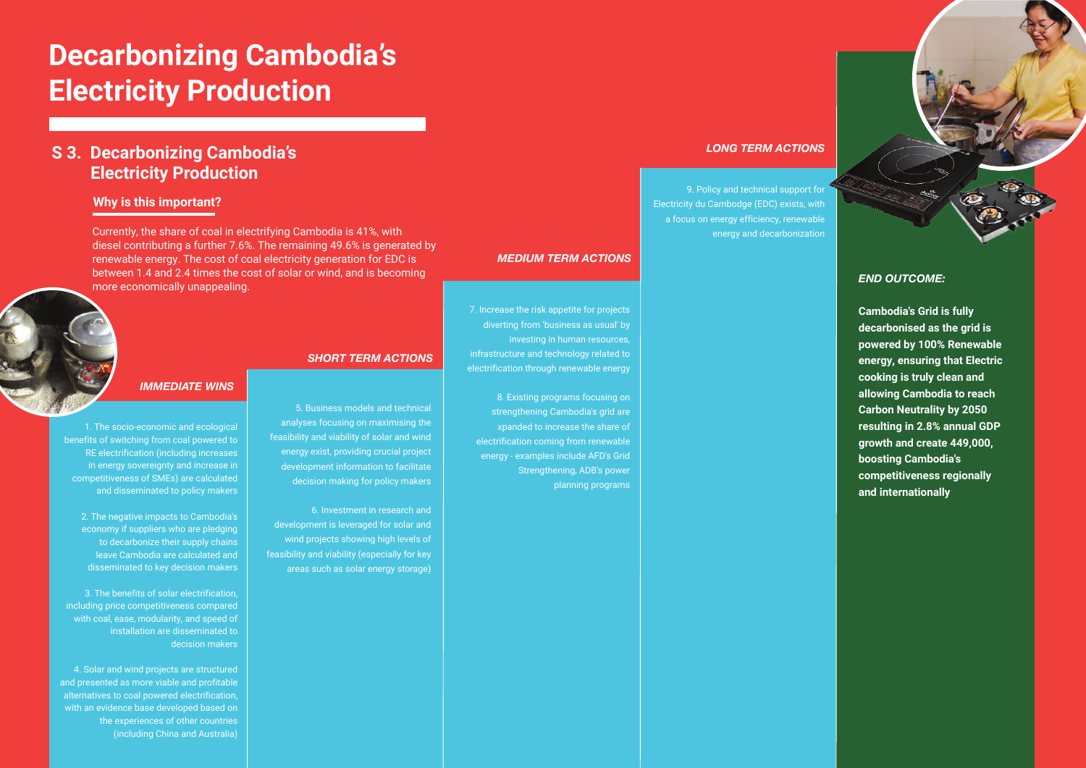#### **Why is this important?**

#### *IMMEDIATE WINS*



*MEDIUM TERM ACTIONS*

#### *LONG TERM ACTIONS*

Currently, the share of coal in electrifying Cambodia is 41%, with diesel contributing a further 7.6%. The remaining 49.6% is generated by renewable energy. The cost of coal electricity generation for EDC is between 1.4 and 2.4 times the cost of solar or wind, and is becoming more economically unappealing.

1. The socio-economic and ecological benefits of switching from coal powered to RE electrification (including increases in energy sovereignty and increase in competitiveness of SMEs) are calculated and disseminated to policy makers

2. The negative impacts to Cambodia's economy if suppliers who are pledging to decarbonize their supply chains leave Cambodia are calculated and disseminated to key decision makers

3. The benefits of solar electrification, including price competitiveness compared with coal, ease, modularity, and speed of installation are disseminated to decision makers

4. Solar and wind projects are structured and presented as more viable and profitable alternatives to coal powered electrification, with an evidence base developed based on the experiences of other countries (including China and Australia)

5. Business models and technical analyses focusing on maximising the feasibility and viability of solar and wind energy exist, providing crucial project development information to facilitate decision making for policy makers

6. Investment in research and development is leveraged for solar and wind projects showing high levels of feasibility and viability (especially for key areas such as solar energy storage)

7. Increase the risk appetite for projects diverting from 'business as usual' by

investing in human resources,

infrastructure and technology related to electrification through renewable energy

8. Existing programs focusing on strengthening Cambodia's grid are xpanded to increase the share of electrification coming from renewable energy - examples include AFD's Grid

Strengthening, ADB's power

planning programs

9. Policy and technical support for Electricity du Cambodge (EDC) exists, with a focus on energy efficiency, renewable energy and decarbonization

#### *END OUTCOME:*

**Cambodia's Grid is fully decarbonised as the grid is powered by 100% Renewable energy, ensuring that Electric cooking is truly clean and allowing Cambodia to reach Carbon Neutrality by 2050 resulting in 2.8% annual GDP growth and create 449,000, boosting Cambodia's competitiveness regionally and internationally**

# **Decarbonizing Cambodia's Electricity Production**

#### **S 3. Decarbonizing Cambodia's Electricity Production**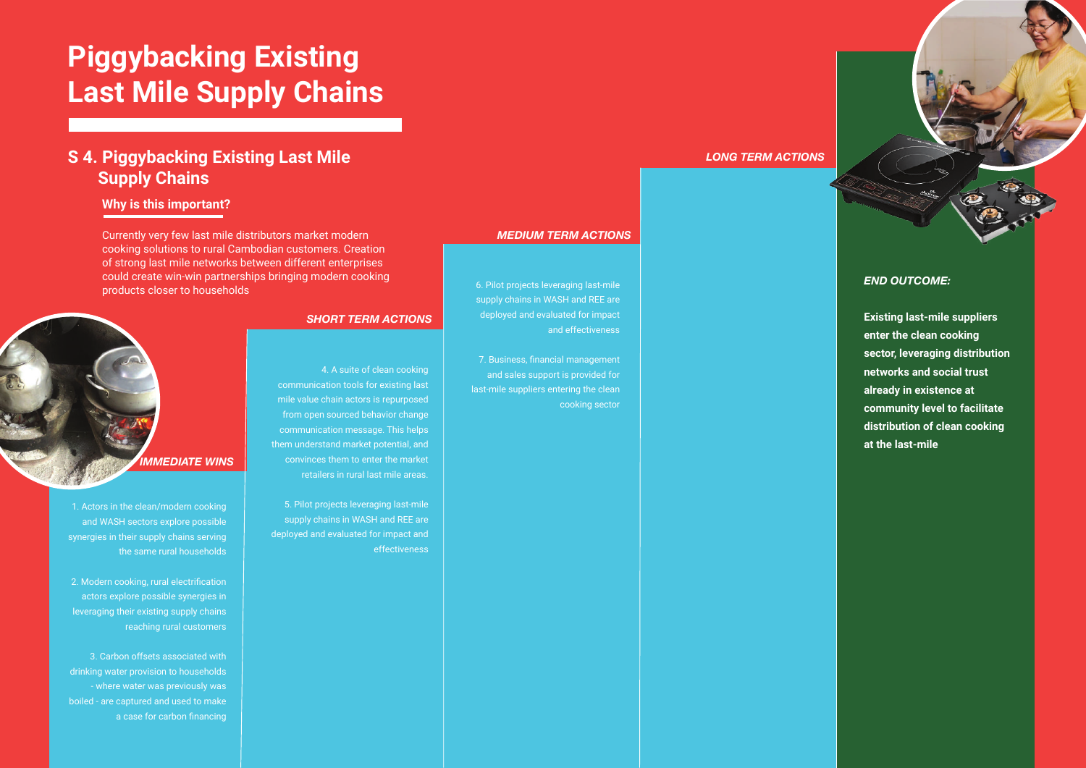# **Piggybacking Existing Last Mile Supply Chains**

#### **S 4. Piggybacking Existing Last Mile Supply Chains**

#### **Why is this important?**

1. Actors in the clean/modern cooking and WASH sectors explore possible synergies in their supply chains serving the same rural households

2. Modern cooking, rural electrification actors explore possible synergies in leveraging their existing supply chains reaching rural customers

3. Carbon offsets associated with drinking water provision to households - where water was previously was boiled - are captured and used to make a case for carbon financing

4. A suite of clean cooking communication tools for existing last mile value chain actors is repurposed from open sourced behavior change communication message. This helps them understand market potential, and convinces them to enter the market retailers in rural last mile areas.

5. Pilot projects leveraging last-mile supply chains in WASH and REE are deployed and evaluated for impact and effectiveness

6. Pilot projects leveraging last-mile supply chains in WASH and REE are deployed and evaluated for impact and effectiveness

7. Business, financial management and sales support is provided for last-mile suppliers entering the clean cooking sector

*END OUTCOME:*

**Existing last-mile suppliers enter the clean cooking sector, leveraging distribution networks and social trust already in existence at community level to facilitate distribution of clean cooking at the last-mile**



#### *SHORT TERM ACTIONS*

#### *MEDIUM TERM ACTIONS*

#### *LONG TERM ACTIONS*

Currently very few last mile distributors market modern cooking solutions to rural Cambodian customers. Creation of strong last mile networks between different enterprises could create win-win partnerships bringing modern cooking products closer to households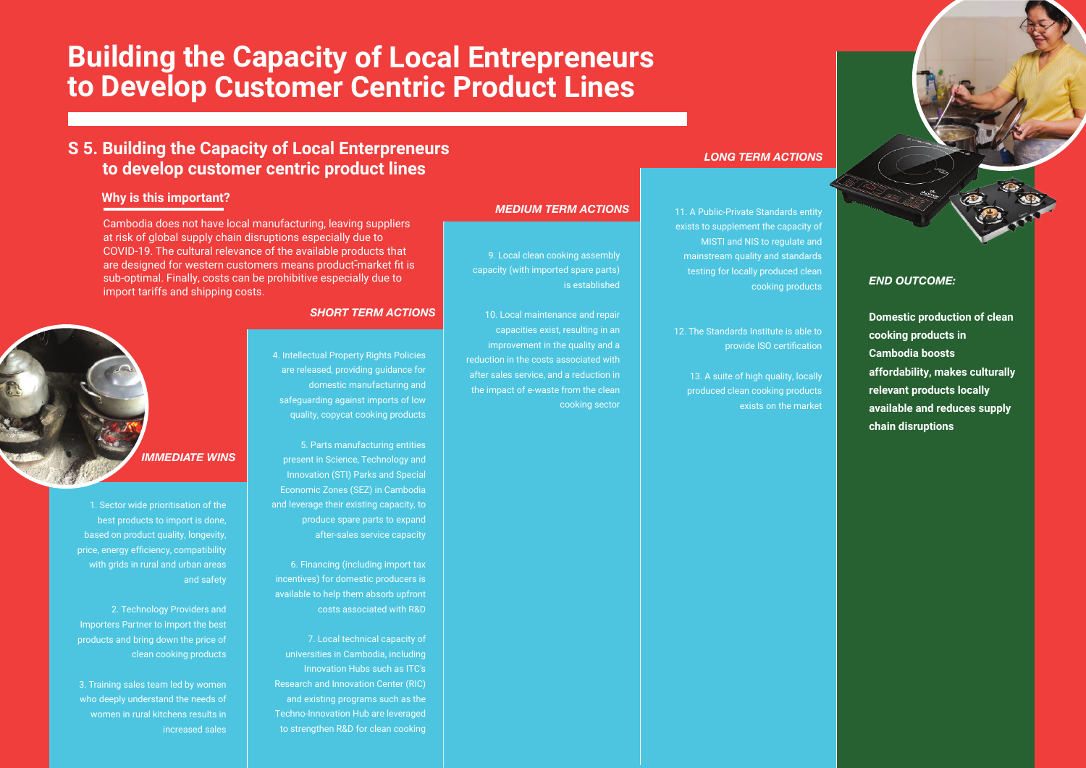## **Building the Capacity of Local Entrepreneurs to Develop Customer Centric Product Lines**

#### **Why is this important?**

*END OUTCOME:*

**Domestic production of clean cooking products in Cambodia boosts affordability, makes culturally relevant products locally available and reduces supply chain disruptions**

1. Sector wide prioritisation of the best products to import is done, based on product quality, longevity, price, energy efficiency, compatibility with grids in rural and urban areas and safety

2. Technology Providers and Importers Partner to import the best products and bring down the price of clean cooking products

3. Training sales team led by women who deeply understand the needs of women in rural kitchens results in increased sales 4. Intellectual Property Rights Policies are released, providing guidance for domestic manufacturing and safeguarding against imports of low quality, copycat cooking products

5. Parts manufacturing entities present in Science, Technology and Innovation (STI) Parks and Special Economic Zones (SEZ) in Cambodia and leverage their existing capacity, to produce spare parts to expand after-sales service capacity

6. Financing (including import tax incentives) for domestic producers is available to help them absorb upfront costs associated with R&D

- are designed for western customers means product-market fit is Cambodia does not have local manufacturing, leaving suppliers at risk of global supply chain disruptions especially due to COVID-19. The cultural relevance of the available products that sub-optimal. Finally, costs can be prohibitive especially due to import tariffs and shipping costs.

> 7. Local technical capacity of universities in Cambodia, including Innovation Hubs such as ITC's Research and Innovation Center (RIC) and existing programs such as the Techno-Innovation Hub are leveraged to strengthen R&D for clean cooking

9. Local clean cooking assembly capacity (with imported spare parts)

is established

10. Local maintenance and repair capacities exist, resulting in an improvement in the quality and a reduction in the costs associated with after sales service, and a reduction in the impact of e-waste from the clean

cooking sector

11. A Public-Private Standards entity exists to supplement the capacity of MISTI and NIS to regulate and mainstream quality and standards testing for locally produced clean cooking products

12. The Standards Institute is able to provide ISO certification

> 13. A suite of high quality, locally produced clean cooking products exists on the market



#### *SHORT TERM ACTIONS*

*MEDIUM TERM ACTIONS*

#### *LONG TERM ACTIONS*

#### **S 5. Building the Capacity of Local Enterpreneurs to develop customer centric product lines**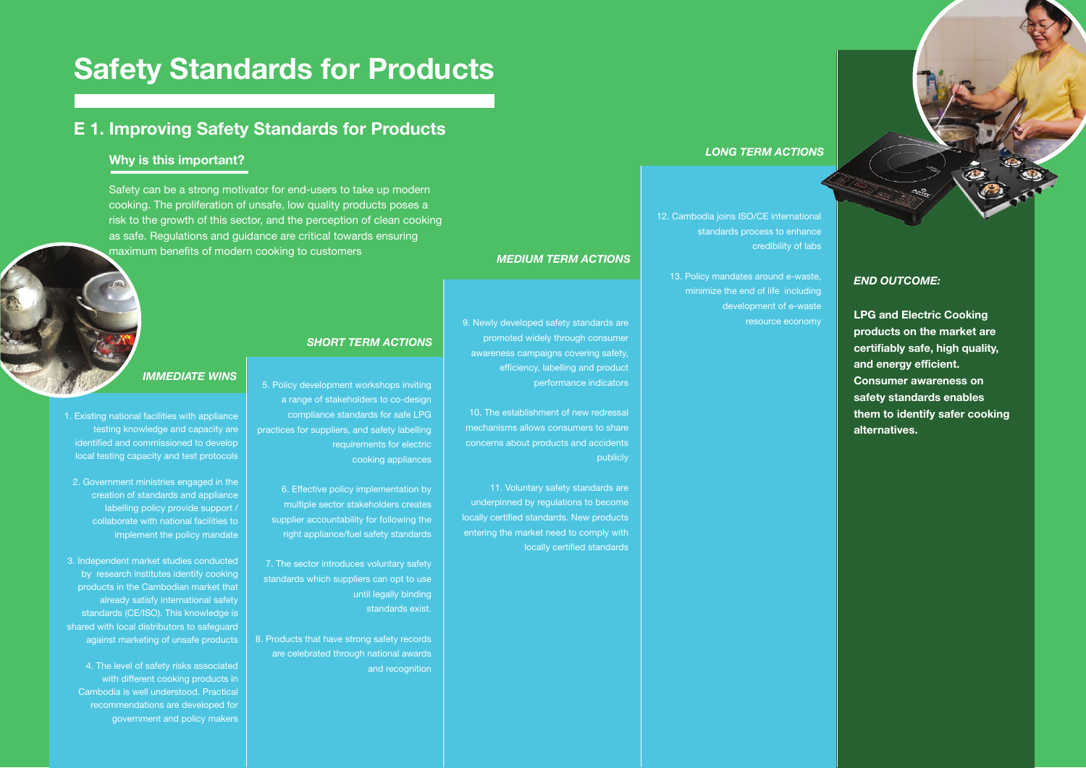**LPG and Electric Cooking products on the market are certifiably safe, high quality, and energy efficient. Consumer awareness on safety standards enables them to identify safer cooking alternatives.** 

5. Policy development workshops inviting a range of stakeholders to co-design compliance standards for safe LPG practices for suppliers, and safety labelling requirements for electric cooking appliances

6. Effective policy implementation by multiple sector stakeholders creates supplier accountability for following the right appliance/fuel safety standards

7. The sector introduces voluntary safety standards which suppliers can opt to use until legally binding standards exist.

8. Products that have strong safety records are celebrated through national awards and recognition 9. Newly developed safety standards are promoted widely through consumer awareness campaigns covering safety, efficiency, labelling and product performance indicators

10. The establishment of new redressal mechanisms allows consumers to share concerns about products and accidents publicly

11. Voluntary safety standards are underpinned by regulations to become locally certified standards. New products entering the market need to comply with locally certified standards

12. Cambodia joins ISO/CE international standards process to enhance credibility of labs

13. Policy mandates around e-waste, minimize the end of life including development of e-waste resource economy

## **Safety Standards for Products**

#### **E 1. Improving Safety Standards for Products**

Safety can be a strong motivator for end-users to take up modern cooking. The proliferation of unsafe, low quality products poses a risk to the growth of this sector, and the perception of clean cooking as safe. Regulations and guidance are critical towards ensuring maximum benefits of modern cooking to customers

#### **Why is this important?**

1. Existing national facilities with appliance testing knowledge and capacity are identified and commissioned to develop local testing capacity and test protocols

2. Government ministries engaged in the creation of standards and appliance labelling policy provide support / collaborate with national facilities to implement the policy mandate

3. Independent market studies conducted by research institutes identify cooking products in the Cambodian market that already satisfy international safety standards (CE/ISO). This knowledge is shared with local distributors to safeguard against marketing of unsafe products

4. The level of safety risks associated with different cooking products in Cambodia is well understood. Practical recommendations are developed for government and policy makers

#### *IMMEDIATE WINS*

#### *SHORT TERM ACTIONS*

## *MEDIUM TERM ACTIONS*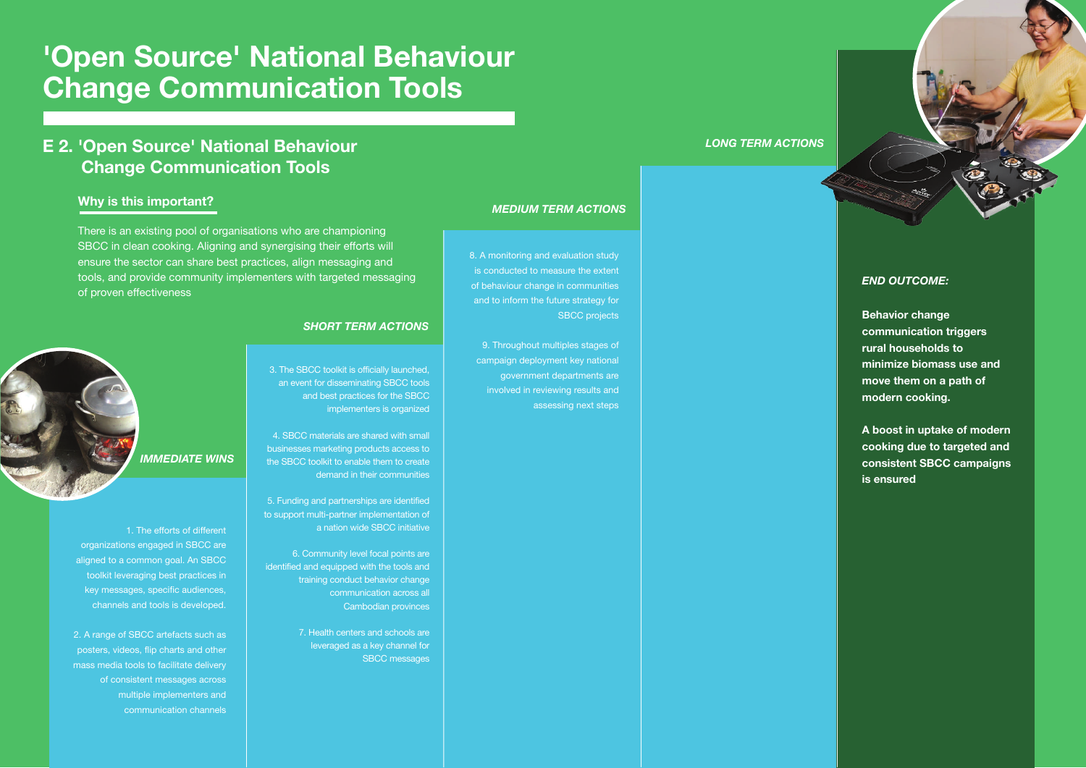**Behavior change communication triggers rural households to minimize biomass use and move them on a path of modern cooking.**

**A boost in uptake of modern cooking due to targeted and consistent SBCC campaigns is ensured**

3. The SBCC toolkit is officially launched, an event for disseminating SBCC tools and best practices for the SBCC implementers is organized

4. SBCC materials are shared with small businesses marketing products access to the SBCC toolkit to enable them to create demand in their communities

5. Funding and partnerships are identified to support multi-partner implementation of a nation wide SBCC initiative

6. Community level focal points are identified and equipped with the tools and training conduct behavior change communication across all Cambodian provinces

> 7. Health centers and schools are leveraged as a key channel for SBCC messages

8. A monitoring and evaluation study is conducted to measure the extent of behaviour change in communities and to inform the future strategy for SBCC projects

9. Throughout multiples stages of campaign deployment key national government departments are involved in reviewing results and assessing next steps

## **'Open Source' National Behaviour Change Communication Tools**

#### **E 2. 'Open Source' National Behaviour Change Communication Tools**

There is an existing pool of organisations who are championing SBCC in clean cooking. Aligning and synergising their efforts will ensure the sector can share best practices, align messaging and tools, and provide community implementers with targeted messaging of proven effectiveness

#### **Why is this important?**

1. The efforts of different organizations engaged in SBCC are aligned to a common goal. An SBCC toolkit leveraging best practices in key messages, specific audiences, channels and tools is developed.

2. A range of SBCC artefacts such as posters, videos, flip charts and other mass media tools to facilitate delivery of consistent messages across multiple implementers and communication channels

*IMMEDIATE WINS*

#### *SHORT TERM ACTIONS*

#### *MEDIUM TERM ACTIONS*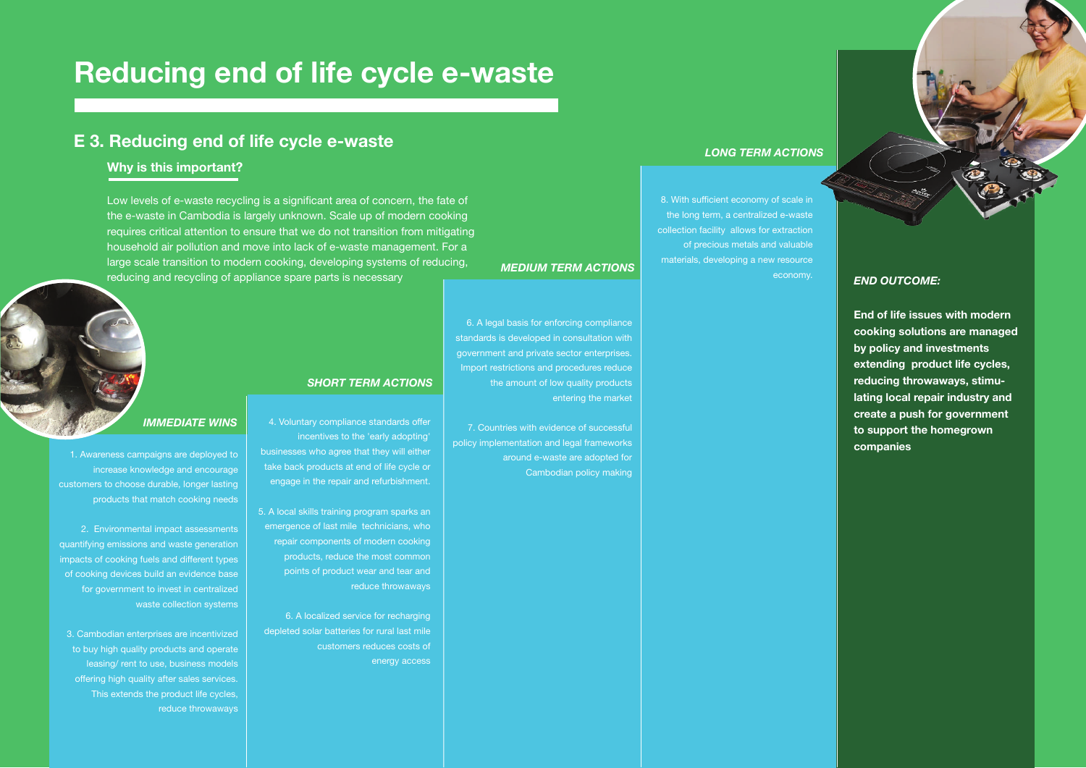**End of life issues with modern cooking solutions are managed by policy and investments extending product life cycles, reducing throwaways, stimulating local repair industry and create a push for government to support the homegrown companies**

incentives to the 'early adopting'

businesses who agree that they will either take back products at end of life cycle or engage in the repair and refurbishment.

5. A local skills training program sparks an emergence of last mile technicians, who repair components of modern cooking products, reduce the most common points of product wear and tear and

reduce throwaways

6. A localized service for recharging

depleted solar batteries for rural last mile

customers reduces costs of

energy access

6. A legal basis for enforcing compliance standards is developed in consultation with government and private sector enterprises. Import restrictions and procedures reduce the amount of low quality products entering the market

7. Countries with evidence of successful policy implementation and legal frameworks around e-waste are adopted for Cambodian policy making

8. With sufficient economy of scale in the long term, a centralized e-waste collection facility allows for extraction of precious metals and valuable materials, developing a new resource economy.

## **Reducing end of life cycle e-waste**

#### 4. Voluntary compliance standards offer *IMMEDIATE WINS*

#### **E 3. Reducing end of life cycle e-waste**

Low levels of e-waste recycling is a significant area of concern, the fate of the e-waste in Cambodia is largely unknown. Scale up of modern cooking requires critical attention to ensure that we do not transition from mitigating household air pollution and move into lack of e-waste management. For a large scale transition to modern cooking, developing systems of reducing, reducing and recycling of appliance spare parts is necessary

#### **Why is this important?**

1. Awareness campaigns are deployed to increase knowledge and encourage customers to choose durable, longer lasting products that match cooking needs

2. Environmental impact assessments quantifying emissions and waste generation impacts of cooking fuels and different types of cooking devices build an evidence base for government to invest in centralized waste collection systems

3. Cambodian enterprises are incentivized to buy high quality products and operate leasing/ rent to use, business models offering high quality after sales services. This extends the product life cycles, reduce throwaways

*SHORT TERM ACTIONS*

#### *MEDIUM TERM ACTIONS*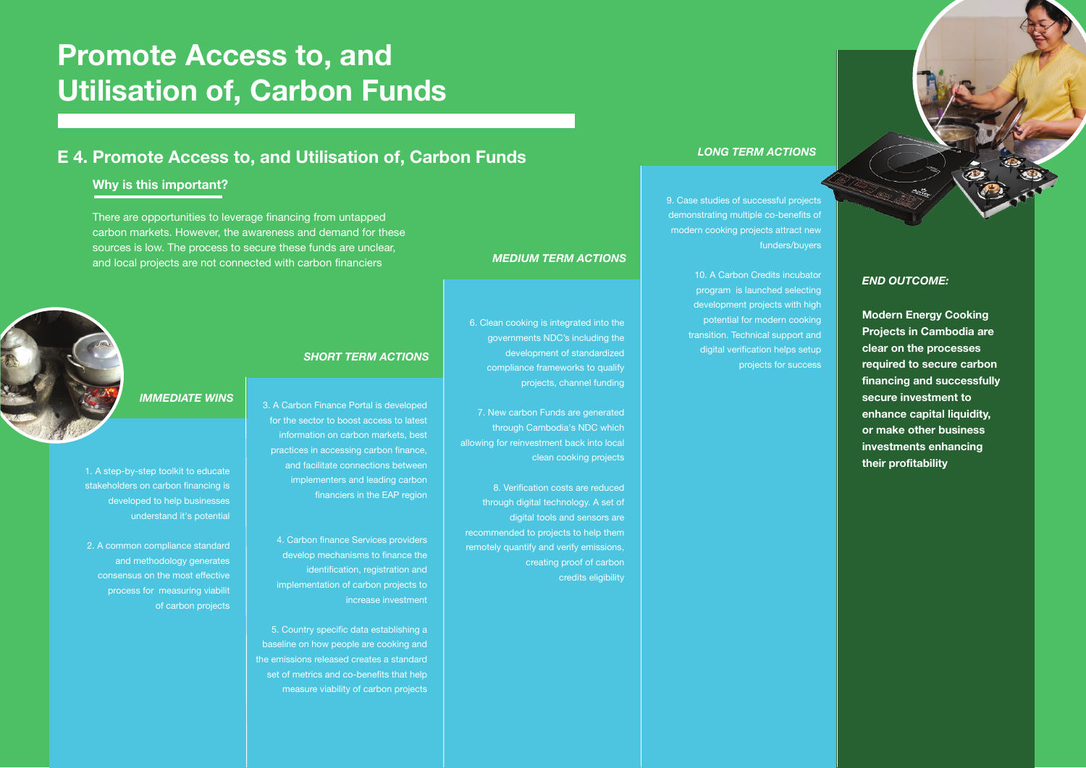**Modern Energy Cooking Projects in Cambodia are clear on the processes required to secure carbon financing and successfully secure investment to enhance capital liquidity, or make other business investments enhancing their profitability**

3. A Carbon Finance Portal is developed for the sector to boost access to latest information on carbon markets, best practices in accessing carbon finance, and facilitate connections between implementers and leading carbon financiers in the EAP region

8. Verification costs are reduced through digital technology. A set of digital tools and sensors are recommended to projects to help them remotely quantify and verify emissions, creating proof of carbon credits eligibility

4. Carbon finance Services providers develop mechanisms to finance the identification, registration and implementation of carbon projects to increase investment

5. Country specific data establishing a baseline on how people are cooking and the emissions released creates a standard set of metrics and co-benefits that help measure viability of carbon projects 6. Clean cooking is integrated into the governments NDC's including the development of standardized compliance frameworks to qualify projects, channel funding

7. New carbon Funds are generated through Cambodia's NDC which allowing for reinvestment back into local clean cooking projects

9. Case studies of successful projects demonstrating multiple co-benefits of modern cooking projects attract new funders/buyers

> 10. A Carbon Credits incubator program is launched selecting development projects with high potential for modern cooking transition. Technical support and digital verification helps setup projects for success

# **Promote Access to, and Utilisation of, Carbon Funds**

#### **E 4. Promote Access to, and Utilisation of, Carbon Funds**

There are opportunities to leverage financing from untapped carbon markets. However, the awareness and demand for these sources is low. The process to secure these funds are unclear, and local projects are not connected with carbon financiers

#### **Why is this important?**

1. A step-by-step toolkit to educate stakeholders on carbon financing is developed to help businesses understand it's potential

2. A common compliance standard and methodology generates consensus on the most effective process for measuring viabilit of carbon projects

#### *IMMEDIATE WINS*

#### *SHORT TERM ACTIONS*

#### *MEDIUM TERM ACTIONS*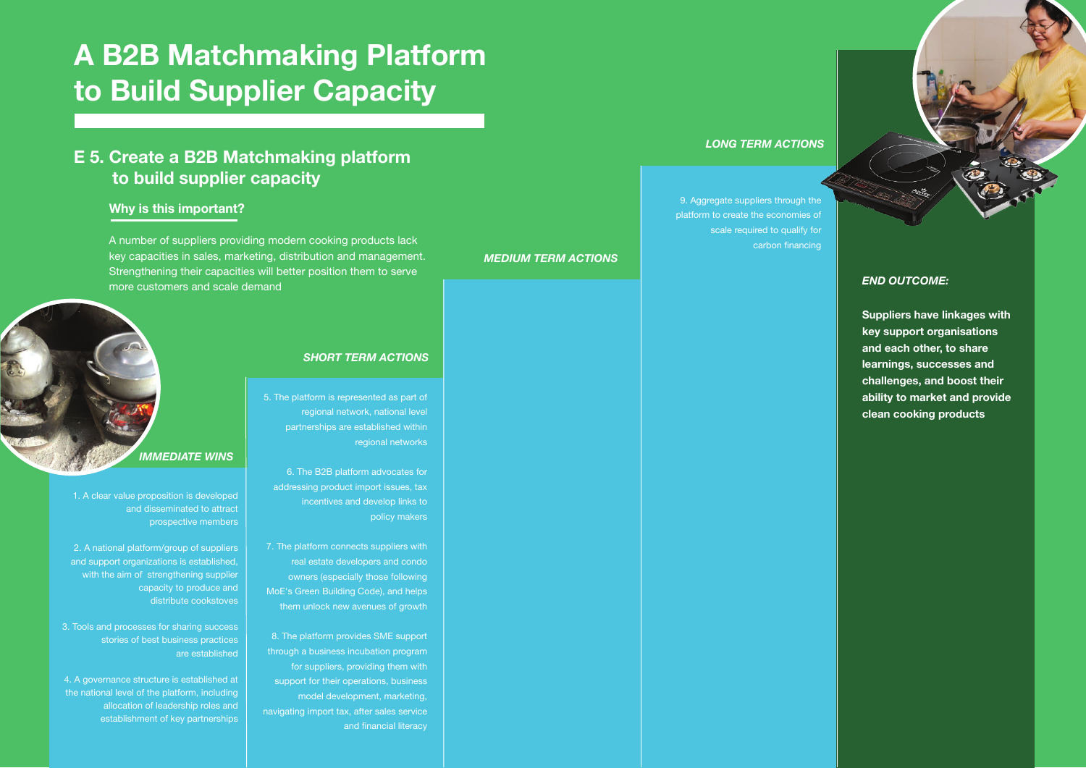**Suppliers have linkages with key support organisations and each other, to share learnings, successes and challenges, and boost their ability to market and provide clean cooking products**

#### 5. The platform is represented as part of

regional network, national level partnerships are established within regional networks

6. The B2B platform advocates for addressing product import issues, tax incentives and develop links to policy makers

- 7. The platform connects suppliers with real estate developers and condo owners (especially those following MoE's Green Building Code), and helps them unlock new avenues of growth
- 8. The platform provides SME support through a business incubation program for suppliers, providing them with support for their operations, business model development, marketing, navigating import tax, after sales service and financial literacy

2. A national platform/group of suppliers and support organizations is established, with the aim of strengthening supplier

9. Aggregate suppliers through the platform to create the economies of scale required to qualify for carbon financing

# **A B2B Matchmaking Platform to Build Supplier Capacity**

#### **E 5. Create a B2B Matchmaking platform to build supplier capacity**

A number of suppliers providing modern cooking products lack key capacities in sales, marketing, distribution and management. Strengthening their capacities will better position them to serve more customers and scale demand

#### **Why is this important?**

1. A clear value proposition is developed

and disseminated to attract prospective members

> capacity to produce and distribute cookstoves

3. Tools and processes for sharing success

stories of best business practices

are established

4. A governance structure is established at the national level of the platform, including

> allocation of leadership roles and establishment of key partnerships



*SHORT TERM ACTIONS*

*MEDIUM TERM ACTIONS*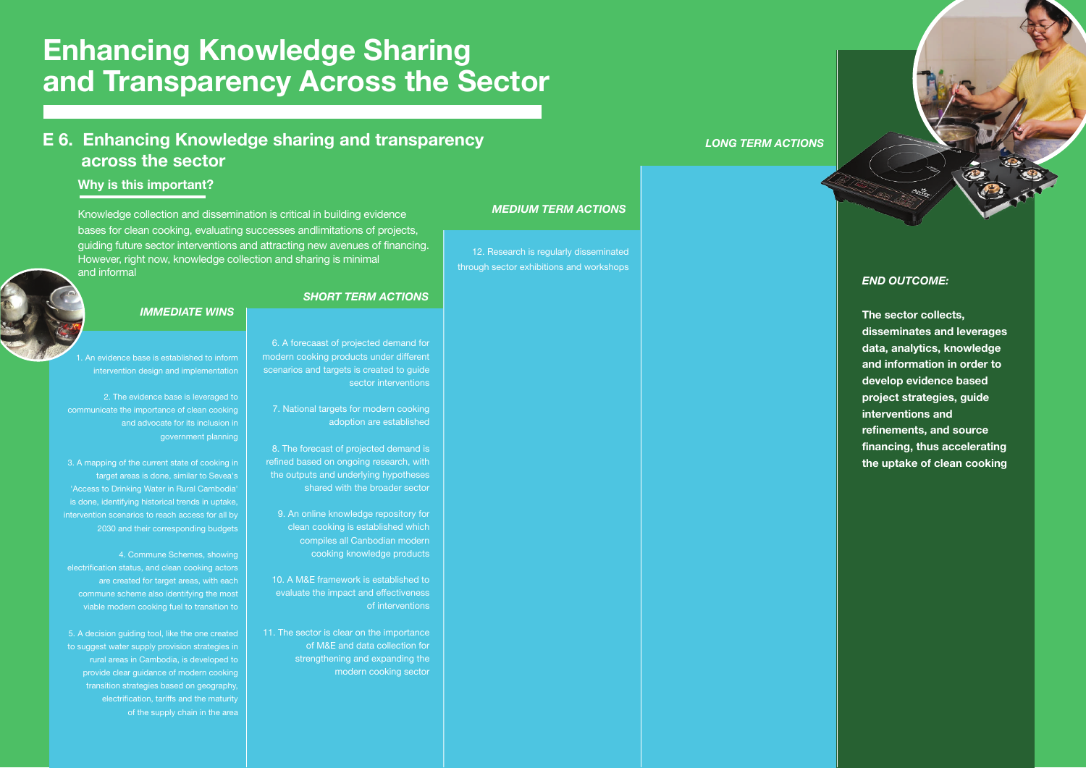**The sector collects, disseminates and leverages data, analytics, knowledge and information in order to develop evidence based project strategies, guide interventions and refinements, and source financing, thus accelerating the uptake of clean cooking**

8. The forecast of projected demand is refined based on ongoing research, with the outputs and underlying hypotheses shared with the broader sector

6. A forecaast of projected demand for modern cooking products under different scenarios and targets is created to guide sector interventions

7. National targets for modern cooking adoption are established

9. An online knowledge repository for clean cooking is established which compiles all Canbodian modern cooking knowledge products

10. A M&E framework is established to evaluate the impact and effectiveness of interventions

11. The sector is clear on the importance of M&E and data collection for strengthening and expanding the modern cooking sector

An evidence base is established to inform

12. Research is regularly disseminated through sector exhibitions and workshops



## **Enhancing Knowledge Sharing and Transparency Across the Sector**

#### **E 6. Enhancing Knowledge sharing and transparency across the sector**

Knowledge collection and dissemination is critical in building evidence bases for clean cooking, evaluating successes andlimitations of projects, guiding future sector interventions and attracting new avenues of financing. However, right now, knowledge collection and sharing is minimal and informal

#### **Why is this important?**

intervention design and implementation

2. The evidence base is leveraged to communicate the importance of clean cooking and advocate for its inclusion in government planning

3. A mapping of the current state of cooking in target areas is done, similar to Sevea's 'Access to Drinking Water in Rural Cambodia' is done, identifying historical trends in uptake, intervention scenarios to reach access for all by 2030 and their corresponding budgets

4. Commune Schemes, showing electrification status, and clean cooking actors are created for target areas, with each commune scheme also identifying the most viable modern cooking fuel to transition to

5. A decision guiding tool, like the one created to suggest water supply provision strategies in rural areas in Cambodia, is developed to provide clear guidance of modern cooking transition strategies based on geography, electrification, tariffs and the maturity of the supply chain in the area

*IMMEDIATE WINS*

#### *SHORT TERM ACTIONS*

#### *MEDIUM TERM ACTIONS*